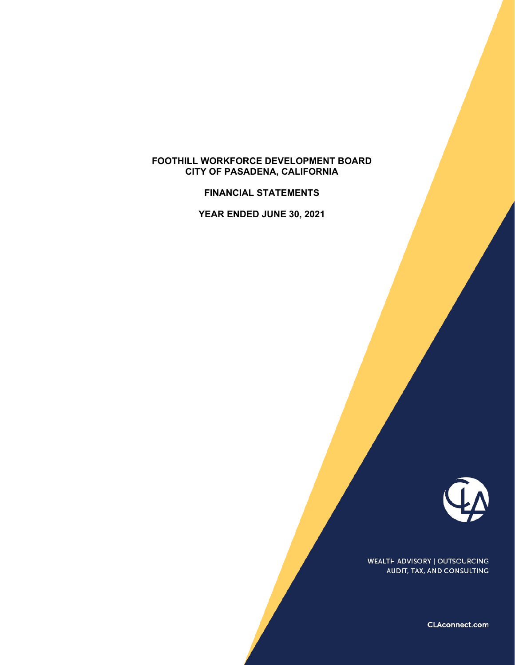#### **FOOTHILL WORKFORCE DEVELOPMENT BOARD CITY OF PASADENA, CALIFORNIA**

**FINANCIAL STATEMENTS** 

**YEAR ENDED JUNE 30, 2021** 



WEALTH ADVISORY | OUTSOURCING AUDIT, TAX, AND CONSULTING

CLAconnect.com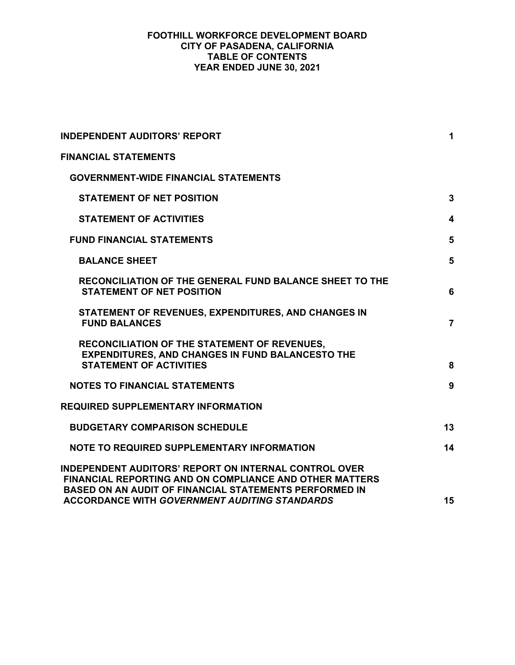### **FOOTHILL WORKFORCE DEVELOPMENT BOARD CITY OF PASADENA, CALIFORNIA TABLE OF CONTENTS YEAR ENDED JUNE 30, 2021**

| <b>INDEPENDENT AUDITORS' REPORT</b>                                                                                                                                                                                                                     | 1              |
|---------------------------------------------------------------------------------------------------------------------------------------------------------------------------------------------------------------------------------------------------------|----------------|
| <b>FINANCIAL STATEMENTS</b>                                                                                                                                                                                                                             |                |
| <b>GOVERNMENT-WIDE FINANCIAL STATEMENTS</b>                                                                                                                                                                                                             |                |
| <b>STATEMENT OF NET POSITION</b>                                                                                                                                                                                                                        | $\mathbf{3}$   |
| <b>STATEMENT OF ACTIVITIES</b>                                                                                                                                                                                                                          | 4              |
| <b>FUND FINANCIAL STATEMENTS</b>                                                                                                                                                                                                                        | 5              |
| <b>BALANCE SHEET</b>                                                                                                                                                                                                                                    | 5              |
| <b>RECONCILIATION OF THE GENERAL FUND BALANCE SHEET TO THE</b><br><b>STATEMENT OF NET POSITION</b>                                                                                                                                                      | 6              |
| STATEMENT OF REVENUES, EXPENDITURES, AND CHANGES IN<br><b>FUND BALANCES</b>                                                                                                                                                                             | $\overline{7}$ |
| RECONCILIATION OF THE STATEMENT OF REVENUES,<br><b>EXPENDITURES, AND CHANGES IN FUND BALANCESTO THE</b><br><b>STATEMENT OF ACTIVITIES</b>                                                                                                               | 8              |
| <b>NOTES TO FINANCIAL STATEMENTS</b>                                                                                                                                                                                                                    | 9              |
| <b>REQUIRED SUPPLEMENTARY INFORMATION</b>                                                                                                                                                                                                               |                |
| <b>BUDGETARY COMPARISON SCHEDULE</b>                                                                                                                                                                                                                    | 13             |
| NOTE TO REQUIRED SUPPLEMENTARY INFORMATION                                                                                                                                                                                                              | 14             |
| <b>INDEPENDENT AUDITORS' REPORT ON INTERNAL CONTROL OVER</b><br><b>FINANCIAL REPORTING AND ON COMPLIANCE AND OTHER MATTERS</b><br><b>BASED ON AN AUDIT OF FINANCIAL STATEMENTS PERFORMED IN</b><br><b>ACCORDANCE WITH GOVERNMENT AUDITING STANDARDS</b> | 15             |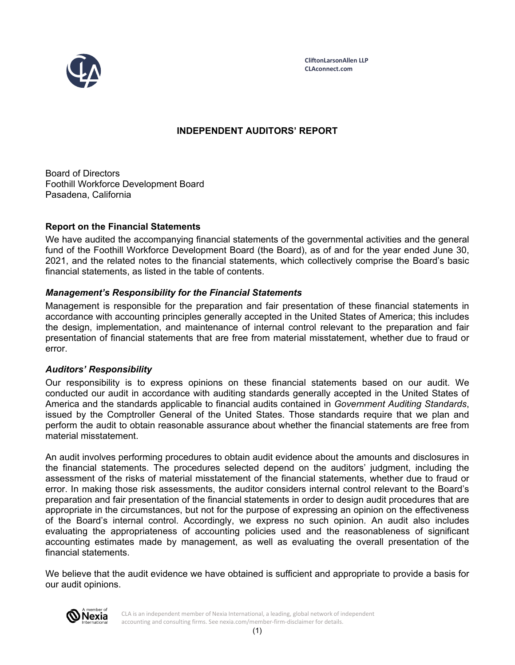

**CliftonLarsonAllen LLP CLAconnect.com**

# **INDEPENDENT AUDITORS' REPORT**

Board of Directors Foothill Workforce Development Board Pasadena, California

# **Report on the Financial Statements**

We have audited the accompanying financial statements of the governmental activities and the general fund of the Foothill Workforce Development Board (the Board), as of and for the year ended June 30, 2021, and the related notes to the financial statements, which collectively comprise the Board's basic financial statements, as listed in the table of contents.

# *Management's Responsibility for the Financial Statements*

Management is responsible for the preparation and fair presentation of these financial statements in accordance with accounting principles generally accepted in the United States of America; this includes the design, implementation, and maintenance of internal control relevant to the preparation and fair presentation of financial statements that are free from material misstatement, whether due to fraud or error.

# *Auditors' Responsibility*

Our responsibility is to express opinions on these financial statements based on our audit. We conducted our audit in accordance with auditing standards generally accepted in the United States of America and the standards applicable to financial audits contained in *Government Auditing Standards*, issued by the Comptroller General of the United States. Those standards require that we plan and perform the audit to obtain reasonable assurance about whether the financial statements are free from material misstatement.

An audit involves performing procedures to obtain audit evidence about the amounts and disclosures in the financial statements. The procedures selected depend on the auditors' judgment, including the assessment of the risks of material misstatement of the financial statements, whether due to fraud or error. In making those risk assessments, the auditor considers internal control relevant to the Board's preparation and fair presentation of the financial statements in order to design audit procedures that are appropriate in the circumstances, but not for the purpose of expressing an opinion on the effectiveness of the Board's internal control. Accordingly, we express no such opinion. An audit also includes evaluating the appropriateness of accounting policies used and the reasonableness of significant accounting estimates made by management, as well as evaluating the overall presentation of the financial statements.

We believe that the audit evidence we have obtained is sufficient and appropriate to provide a basis for our audit opinions.



CLA is an independent member of Nexia International, a leading, global network of independent accounting and consulting firms. See nexia.com/member-firm-disclaimer for details.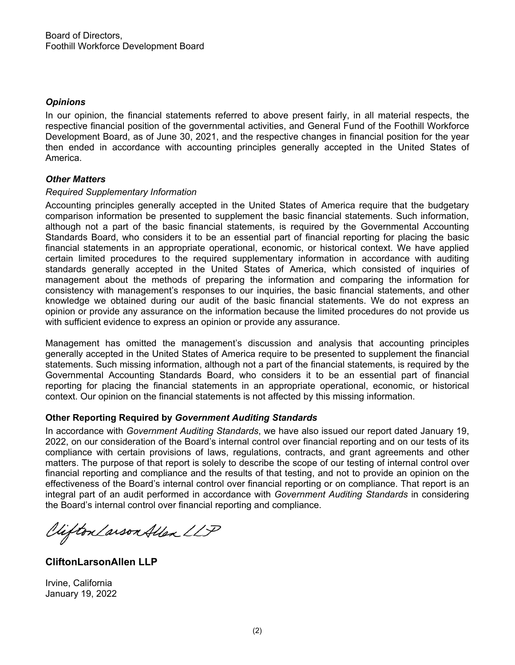# *Opinions*

In our opinion, the financial statements referred to above present fairly, in all material respects, the respective financial position of the governmental activities, and General Fund of the Foothill Workforce Development Board, as of June 30, 2021, and the respective changes in financial position for the year then ended in accordance with accounting principles generally accepted in the United States of America.

# *Other Matters*

# *Required Supplementary Information*

Accounting principles generally accepted in the United States of America require that the budgetary comparison information be presented to supplement the basic financial statements. Such information, although not a part of the basic financial statements, is required by the Governmental Accounting Standards Board, who considers it to be an essential part of financial reporting for placing the basic financial statements in an appropriate operational, economic, or historical context. We have applied certain limited procedures to the required supplementary information in accordance with auditing standards generally accepted in the United States of America, which consisted of inquiries of management about the methods of preparing the information and comparing the information for consistency with management's responses to our inquiries, the basic financial statements, and other knowledge we obtained during our audit of the basic financial statements. We do not express an opinion or provide any assurance on the information because the limited procedures do not provide us with sufficient evidence to express an opinion or provide any assurance.

Management has omitted the management's discussion and analysis that accounting principles generally accepted in the United States of America require to be presented to supplement the financial statements. Such missing information, although not a part of the financial statements, is required by the Governmental Accounting Standards Board, who considers it to be an essential part of financial reporting for placing the financial statements in an appropriate operational, economic, or historical context. Our opinion on the financial statements is not affected by this missing information.

# **Other Reporting Required by** *Government Auditing Standards*

In accordance with *Government Auditing Standards*, we have also issued our report dated January 19, 2022, on our consideration of the Board's internal control over financial reporting and on our tests of its compliance with certain provisions of laws, regulations, contracts, and grant agreements and other matters. The purpose of that report is solely to describe the scope of our testing of internal control over financial reporting and compliance and the results of that testing, and not to provide an opinion on the effectiveness of the Board's internal control over financial reporting or on compliance. That report is an integral part of an audit performed in accordance with *Government Auditing Standards* in considering the Board's internal control over financial reporting and compliance.

Viifton Larson Allen LLP

**CliftonLarsonAllen LLP** 

Irvine, California January 19, 2022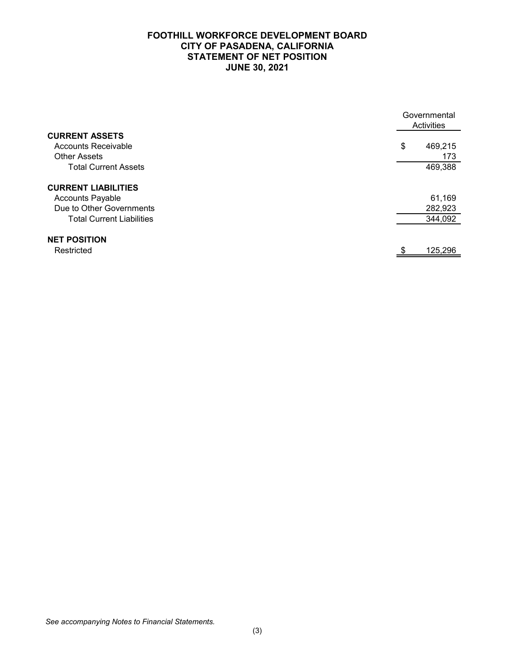# **FOOTHILL WORKFORCE DEVELOPMENT BOARD CITY OF PASADENA, CALIFORNIA STATEMENT OF NET POSITION JUNE 30, 2021**

|                                  |    | Governmental<br>Activities |  |
|----------------------------------|----|----------------------------|--|
| <b>CURRENT ASSETS</b>            |    |                            |  |
| Accounts Receivable              | \$ | 469,215                    |  |
| <b>Other Assets</b>              |    | 173                        |  |
| <b>Total Current Assets</b>      |    | 469,388                    |  |
| <b>CURRENT LIABILITIES</b>       |    |                            |  |
| <b>Accounts Payable</b>          |    | 61,169                     |  |
| Due to Other Governments         |    | 282,923                    |  |
| <b>Total Current Liabilities</b> |    | 344,092                    |  |
| <b>NET POSITION</b>              |    |                            |  |
| Restricted                       | ድ  | 125,296                    |  |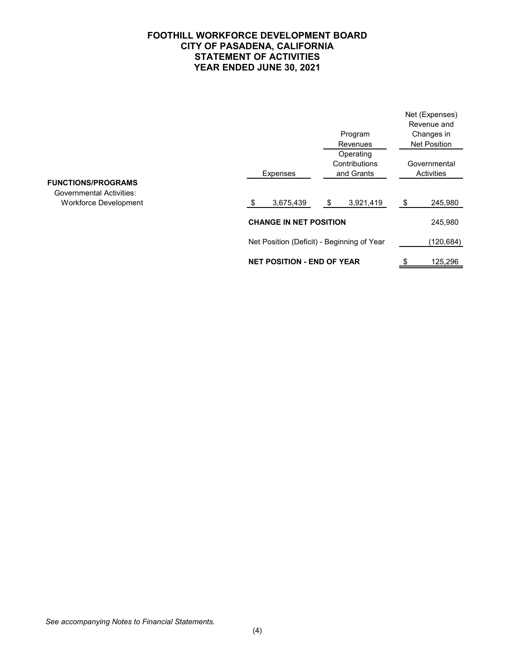## **FOOTHILL WORKFORCE DEVELOPMENT BOARD CITY OF PASADENA, CALIFORNIA STATEMENT OF ACTIVITIES YEAR ENDED JUNE 30, 2021**

|                                                          | Program<br>Revenues               |                                            |                            | Net (Expenses)<br>Revenue and<br>Changes in<br><b>Net Position</b> |  |  |
|----------------------------------------------------------|-----------------------------------|--------------------------------------------|----------------------------|--------------------------------------------------------------------|--|--|
| <b>FUNCTIONS/PROGRAMS</b>                                | <b>Expenses</b>                   | Operating<br>Contributions<br>and Grants   | Governmental<br>Activities |                                                                    |  |  |
| <b>Governmental Activities:</b><br>Workforce Development | 3,675,439<br>- \$                 | 3,921,419<br>\$                            | \$                         | 245,980                                                            |  |  |
|                                                          |                                   | <b>CHANGE IN NET POSITION</b>              |                            |                                                                    |  |  |
|                                                          |                                   | Net Position (Deficit) - Beginning of Year |                            |                                                                    |  |  |
|                                                          | <b>NET POSITION - END OF YEAR</b> |                                            | \$                         | 125,296                                                            |  |  |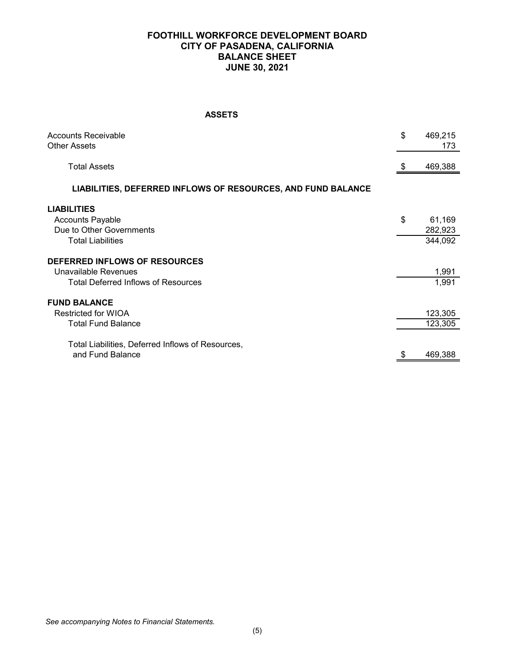## **FOOTHILL WORKFORCE DEVELOPMENT BOARD CITY OF PASADENA, CALIFORNIA BALANCE SHEET JUNE 30, 2021**

#### **ASSETS**

| <b>Accounts Receivable</b><br><b>Other Assets</b>            | \$ | 469,215<br>173 |
|--------------------------------------------------------------|----|----------------|
| <b>Total Assets</b>                                          | £. | 469,388        |
| LIABILITIES, DEFERRED INFLOWS OF RESOURCES, AND FUND BALANCE |    |                |
| <b>LIABILITIES</b>                                           |    |                |
| <b>Accounts Payable</b>                                      | \$ | 61,169         |
| Due to Other Governments                                     |    | 282,923        |
| <b>Total Liabilities</b>                                     |    | 344,092        |
| <b>DEFERRED INFLOWS OF RESOURCES</b>                         |    |                |
| Unavailable Revenues                                         |    | 1,991          |
| <b>Total Deferred Inflows of Resources</b>                   |    | 1,991          |
| <b>FUND BALANCE</b>                                          |    |                |
| <b>Restricted for WIOA</b>                                   |    | 123,305        |
| <b>Total Fund Balance</b>                                    |    | 123,305        |
| Total Liabilities, Deferred Inflows of Resources,            |    |                |
| and Fund Balance                                             |    | 469,388        |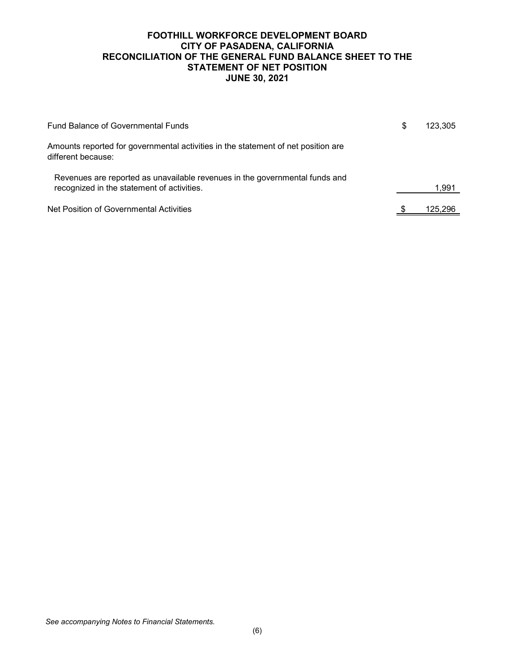# **FOOTHILL WORKFORCE DEVELOPMENT BOARD CITY OF PASADENA, CALIFORNIA RECONCILIATION OF THE GENERAL FUND BALANCE SHEET TO THE STATEMENT OF NET POSITION JUNE 30, 2021**

| <b>Fund Balance of Governmental Funds</b>                                                                                 | \$<br>123.305 |
|---------------------------------------------------------------------------------------------------------------------------|---------------|
| Amounts reported for governmental activities in the statement of net position are<br>different because:                   |               |
| Revenues are reported as unavailable revenues in the governmental funds and<br>recognized in the statement of activities. | 1,991         |
| Net Position of Governmental Activities                                                                                   | 125,296       |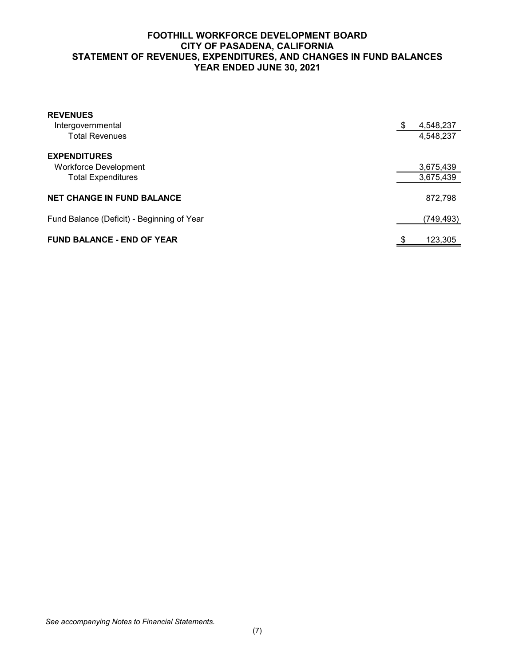# **FOOTHILL WORKFORCE DEVELOPMENT BOARD CITY OF PASADENA, CALIFORNIA STATEMENT OF REVENUES, EXPENDITURES, AND CHANGES IN FUND BALANCES YEAR ENDED JUNE 30, 2021**

| <b>REVENUES</b>                            |     |           |
|--------------------------------------------|-----|-----------|
| Intergovernmental                          | -\$ | 4,548,237 |
| <b>Total Revenues</b>                      |     | 4,548,237 |
| <b>EXPENDITURES</b>                        |     |           |
| <b>Workforce Development</b>               |     | 3,675,439 |
| <b>Total Expenditures</b>                  |     | 3,675,439 |
| <b>NET CHANGE IN FUND BALANCE</b>          |     | 872,798   |
| Fund Balance (Deficit) - Beginning of Year |     | (749,493) |
| <b>FUND BALANCE - END OF YEAR</b>          | \$  | 123.305   |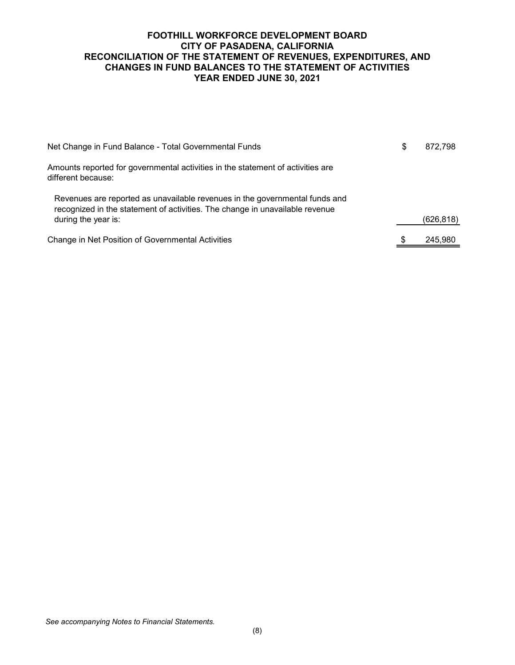#### **FOOTHILL WORKFORCE DEVELOPMENT BOARD CITY OF PASADENA, CALIFORNIA RECONCILIATION OF THE STATEMENT OF REVENUES, EXPENDITURES, AND CHANGES IN FUND BALANCES TO THE STATEMENT OF ACTIVITIES YEAR ENDED JUNE 30, 2021**

| Net Change in Fund Balance - Total Governmental Funds                                                                                                                              | \$<br>872.798 |
|------------------------------------------------------------------------------------------------------------------------------------------------------------------------------------|---------------|
| Amounts reported for governmental activities in the statement of activities are<br>different because:                                                                              |               |
| Revenues are reported as unavailable revenues in the governmental funds and<br>recognized in the statement of activities. The change in unavailable revenue<br>during the year is: | (626, 818)    |
| Change in Net Position of Governmental Activities                                                                                                                                  | 245,980       |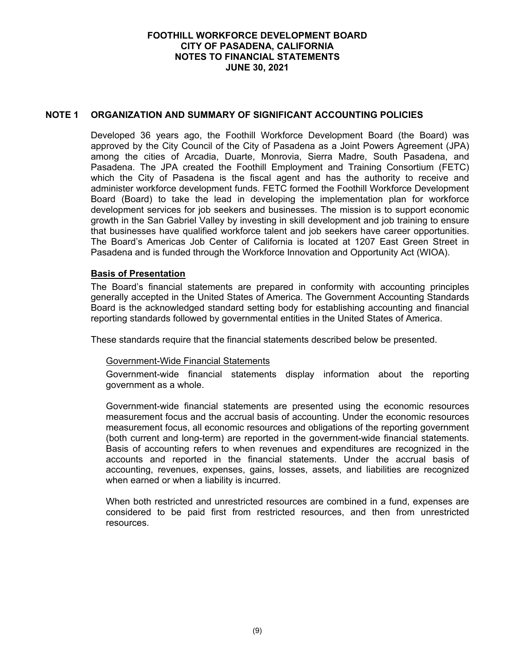# **NOTE 1 ORGANIZATION AND SUMMARY OF SIGNIFICANT ACCOUNTING POLICIES**

Developed 36 years ago, the Foothill Workforce Development Board (the Board) was approved by the City Council of the City of Pasadena as a Joint Powers Agreement (JPA) among the cities of Arcadia, Duarte, Monrovia, Sierra Madre, South Pasadena, and Pasadena. The JPA created the Foothill Employment and Training Consortium (FETC) which the City of Pasadena is the fiscal agent and has the authority to receive and administer workforce development funds. FETC formed the Foothill Workforce Development Board (Board) to take the lead in developing the implementation plan for workforce development services for job seekers and businesses. The mission is to support economic growth in the San Gabriel Valley by investing in skill development and job training to ensure that businesses have qualified workforce talent and job seekers have career opportunities. The Board's Americas Job Center of California is located at 1207 East Green Street in Pasadena and is funded through the Workforce Innovation and Opportunity Act (WIOA).

# **Basis of Presentation**

The Board's financial statements are prepared in conformity with accounting principles generally accepted in the United States of America. The Government Accounting Standards Board is the acknowledged standard setting body for establishing accounting and financial reporting standards followed by governmental entities in the United States of America.

These standards require that the financial statements described below be presented.

#### Government-Wide Financial Statements

Government-wide financial statements display information about the reporting government as a whole.

Government-wide financial statements are presented using the economic resources measurement focus and the accrual basis of accounting. Under the economic resources measurement focus, all economic resources and obligations of the reporting government (both current and long-term) are reported in the government-wide financial statements. Basis of accounting refers to when revenues and expenditures are recognized in the accounts and reported in the financial statements. Under the accrual basis of accounting, revenues, expenses, gains, losses, assets, and liabilities are recognized when earned or when a liability is incurred.

When both restricted and unrestricted resources are combined in a fund, expenses are considered to be paid first from restricted resources, and then from unrestricted resources.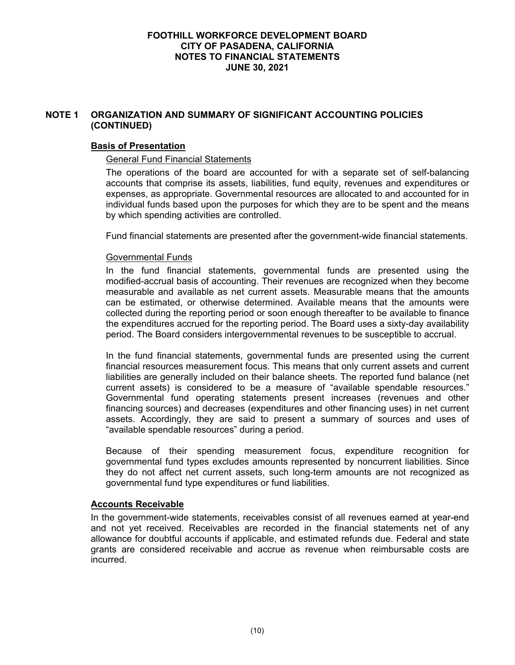# **NOTE 1 ORGANIZATION AND SUMMARY OF SIGNIFICANT ACCOUNTING POLICIES (CONTINUED)**

## **Basis of Presentation**

### General Fund Financial Statements

The operations of the board are accounted for with a separate set of self-balancing accounts that comprise its assets, liabilities, fund equity, revenues and expenditures or expenses, as appropriate. Governmental resources are allocated to and accounted for in individual funds based upon the purposes for which they are to be spent and the means by which spending activities are controlled.

Fund financial statements are presented after the government-wide financial statements.

### Governmental Funds

In the fund financial statements, governmental funds are presented using the modified-accrual basis of accounting. Their revenues are recognized when they become measurable and available as net current assets. Measurable means that the amounts can be estimated, or otherwise determined. Available means that the amounts were collected during the reporting period or soon enough thereafter to be available to finance the expenditures accrued for the reporting period. The Board uses a sixty-day availability period. The Board considers intergovernmental revenues to be susceptible to accrual.

In the fund financial statements, governmental funds are presented using the current financial resources measurement focus. This means that only current assets and current liabilities are generally included on their balance sheets. The reported fund balance (net current assets) is considered to be a measure of "available spendable resources." Governmental fund operating statements present increases (revenues and other financing sources) and decreases (expenditures and other financing uses) in net current assets. Accordingly, they are said to present a summary of sources and uses of "available spendable resources" during a period.

Because of their spending measurement focus, expenditure recognition for governmental fund types excludes amounts represented by noncurrent liabilities. Since they do not affect net current assets, such long-term amounts are not recognized as governmental fund type expenditures or fund liabilities.

#### **Accounts Receivable**

In the government-wide statements, receivables consist of all revenues earned at year-end and not yet received. Receivables are recorded in the financial statements net of any allowance for doubtful accounts if applicable, and estimated refunds due. Federal and state grants are considered receivable and accrue as revenue when reimbursable costs are incurred.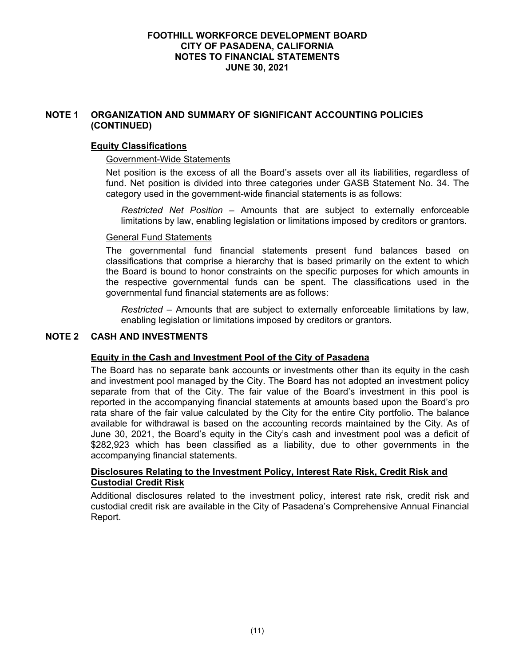# **NOTE 1 ORGANIZATION AND SUMMARY OF SIGNIFICANT ACCOUNTING POLICIES (CONTINUED)**

# **Equity Classifications**

Government-Wide Statements

Net position is the excess of all the Board's assets over all its liabilities, regardless of fund. Net position is divided into three categories under GASB Statement No. 34. The category used in the government-wide financial statements is as follows:

*Restricted Net Position* – Amounts that are subject to externally enforceable limitations by law, enabling legislation or limitations imposed by creditors or grantors.

### General Fund Statements

The governmental fund financial statements present fund balances based on classifications that comprise a hierarchy that is based primarily on the extent to which the Board is bound to honor constraints on the specific purposes for which amounts in the respective governmental funds can be spent. The classifications used in the governmental fund financial statements are as follows:

*Restricted –* Amounts that are subject to externally enforceable limitations by law, enabling legislation or limitations imposed by creditors or grantors.

# **NOTE 2 CASH AND INVESTMENTS**

# **Equity in the Cash and Investment Pool of the City of Pasadena**

The Board has no separate bank accounts or investments other than its equity in the cash and investment pool managed by the City. The Board has not adopted an investment policy separate from that of the City. The fair value of the Board's investment in this pool is reported in the accompanying financial statements at amounts based upon the Board's pro rata share of the fair value calculated by the City for the entire City portfolio. The balance available for withdrawal is based on the accounting records maintained by the City. As of June 30, 2021, the Board's equity in the City's cash and investment pool was a deficit of \$282,923 which has been classified as a liability, due to other governments in the accompanying financial statements.

### **Disclosures Relating to the Investment Policy, Interest Rate Risk, Credit Risk and Custodial Credit Risk**

Additional disclosures related to the investment policy, interest rate risk, credit risk and custodial credit risk are available in the City of Pasadena's Comprehensive Annual Financial Report.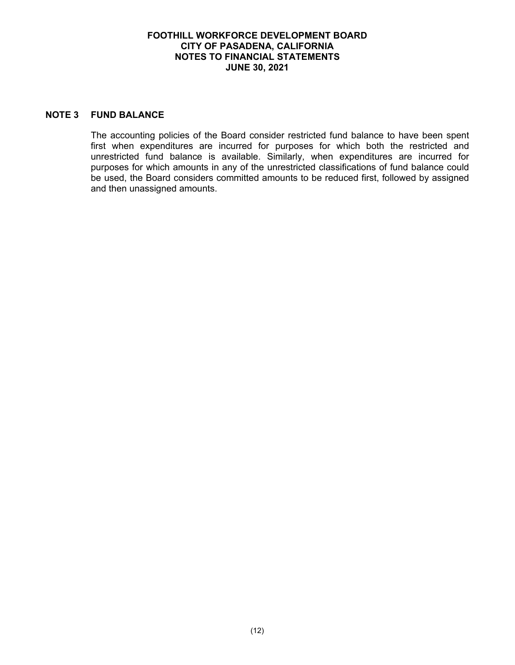# **NOTE 3 FUND BALANCE**

The accounting policies of the Board consider restricted fund balance to have been spent first when expenditures are incurred for purposes for which both the restricted and unrestricted fund balance is available. Similarly, when expenditures are incurred for purposes for which amounts in any of the unrestricted classifications of fund balance could be used, the Board considers committed amounts to be reduced first, followed by assigned and then unassigned amounts.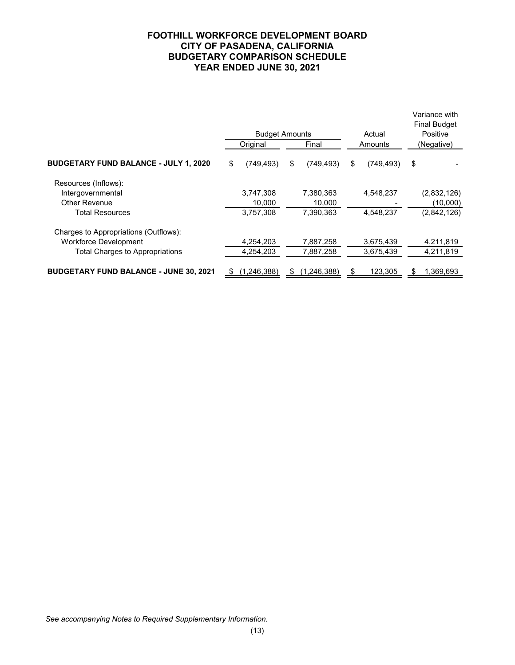### **FOOTHILL WORKFORCE DEVELOPMENT BOARD CITY OF PASADENA, CALIFORNIA BUDGETARY COMPARISON SCHEDULE YEAR ENDED JUNE 30, 2021**

|                                               |    | <b>Budget Amounts</b><br>Original<br>Final |    |             | Actual<br>Amounts |            | Variance with<br><b>Final Budget</b><br>Positive<br>(Negative) |             |
|-----------------------------------------------|----|--------------------------------------------|----|-------------|-------------------|------------|----------------------------------------------------------------|-------------|
| <b>BUDGETARY FUND BALANCE - JULY 1, 2020</b>  | \$ | (749, 493)                                 | \$ | (749, 493)  | S                 | (749, 493) | \$                                                             |             |
| Resources (Inflows):                          |    |                                            |    |             |                   |            |                                                                |             |
| Intergovernmental                             |    | 3,747,308                                  |    | 7,380,363   |                   | 4,548,237  |                                                                | (2,832,126) |
| Other Revenue                                 |    | 10.000                                     |    | 10,000      |                   |            |                                                                | (10,000)    |
| <b>Total Resources</b>                        |    | 3.757.308                                  |    | 7,390,363   |                   | 4,548,237  |                                                                | (2,842,126) |
| Charges to Appropriations (Outflows):         |    |                                            |    |             |                   |            |                                                                |             |
| <b>Workforce Development</b>                  |    | 4,254,203                                  |    | 7,887,258   |                   | 3,675,439  |                                                                | 4,211,819   |
| <b>Total Charges to Appropriations</b>        |    | 4,254,203                                  |    | 7,887,258   |                   | 3,675,439  |                                                                | 4,211,819   |
| <b>BUDGETARY FUND BALANCE - JUNE 30, 2021</b> | S  | (1,246,388)                                | \$ | (1,246,388) |                   | 123,305    | \$                                                             | 1,369,693   |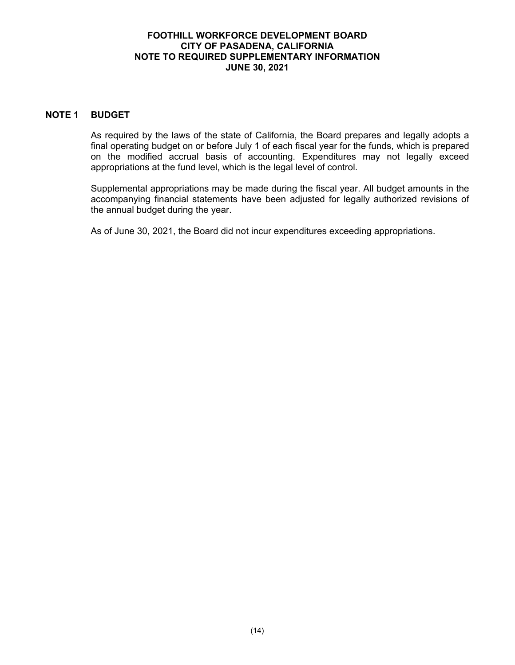### **FOOTHILL WORKFORCE DEVELOPMENT BOARD CITY OF PASADENA, CALIFORNIA NOTE TO REQUIRED SUPPLEMENTARY INFORMATION JUNE 30, 2021**

# **NOTE 1 BUDGET**

As required by the laws of the state of California, the Board prepares and legally adopts a final operating budget on or before July 1 of each fiscal year for the funds, which is prepared on the modified accrual basis of accounting. Expenditures may not legally exceed appropriations at the fund level, which is the legal level of control.

Supplemental appropriations may be made during the fiscal year. All budget amounts in the accompanying financial statements have been adjusted for legally authorized revisions of the annual budget during the year.

As of June 30, 2021, the Board did not incur expenditures exceeding appropriations.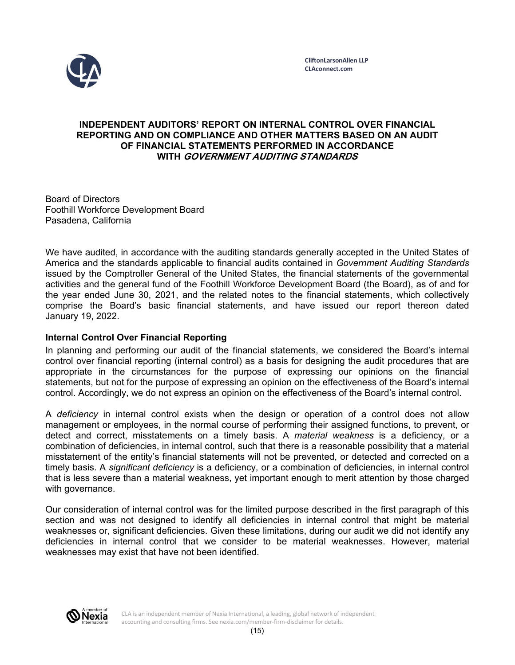

# **INDEPENDENT AUDITORS' REPORT ON INTERNAL CONTROL OVER FINANCIAL REPORTING AND ON COMPLIANCE AND OTHER MATTERS BASED ON AN AUDIT OF FINANCIAL STATEMENTS PERFORMED IN ACCORDANCE WITH GOVERNMENT AUDITING STANDARDS**

Board of Directors Foothill Workforce Development Board Pasadena, California

We have audited, in accordance with the auditing standards generally accepted in the United States of America and the standards applicable to financial audits contained in *Government Auditing Standards*  issued by the Comptroller General of the United States, the financial statements of the governmental activities and the general fund of the Foothill Workforce Development Board (the Board), as of and for the year ended June 30, 2021, and the related notes to the financial statements, which collectively comprise the Board's basic financial statements, and have issued our report thereon dated January 19, 2022.

# **Internal Control Over Financial Reporting**

In planning and performing our audit of the financial statements, we considered the Board's internal control over financial reporting (internal control) as a basis for designing the audit procedures that are appropriate in the circumstances for the purpose of expressing our opinions on the financial statements, but not for the purpose of expressing an opinion on the effectiveness of the Board's internal control. Accordingly, we do not express an opinion on the effectiveness of the Board's internal control.

A *deficiency* in internal control exists when the design or operation of a control does not allow management or employees, in the normal course of performing their assigned functions, to prevent, or detect and correct, misstatements on a timely basis. A *material weakness* is a deficiency, or a combination of deficiencies, in internal control, such that there is a reasonable possibility that a material misstatement of the entity's financial statements will not be prevented, or detected and corrected on a timely basis. A *significant deficiency* is a deficiency, or a combination of deficiencies, in internal control that is less severe than a material weakness, yet important enough to merit attention by those charged with governance.

Our consideration of internal control was for the limited purpose described in the first paragraph of this section and was not designed to identify all deficiencies in internal control that might be material weaknesses or, significant deficiencies. Given these limitations, during our audit we did not identify any deficiencies in internal control that we consider to be material weaknesses. However, material weaknesses may exist that have not been identified.



CLA is an independent member of Nexia International, a leading, global network of independent accounting and consulting firms. See nexia.com/member-firm-disclaimer for details.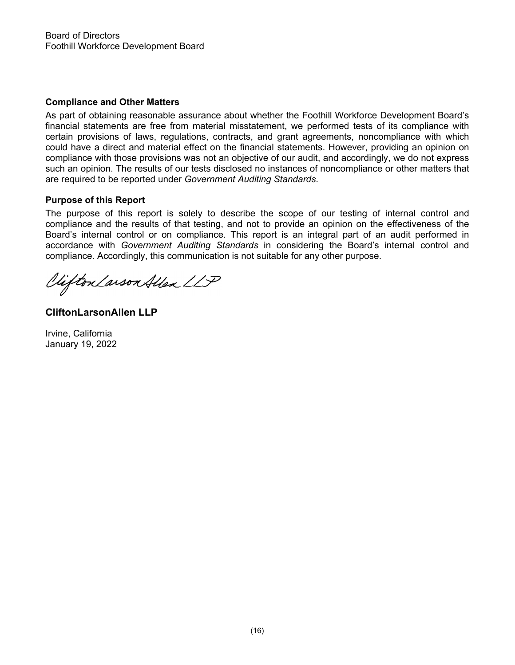### **Compliance and Other Matters**

As part of obtaining reasonable assurance about whether the Foothill Workforce Development Board's financial statements are free from material misstatement, we performed tests of its compliance with certain provisions of laws, regulations, contracts, and grant agreements, noncompliance with which could have a direct and material effect on the financial statements. However, providing an opinion on compliance with those provisions was not an objective of our audit, and accordingly, we do not express such an opinion. The results of our tests disclosed no instances of noncompliance or other matters that are required to be reported under *Government Auditing Standards*.

### **Purpose of this Report**

The purpose of this report is solely to describe the scope of our testing of internal control and compliance and the results of that testing, and not to provide an opinion on the effectiveness of the Board's internal control or on compliance. This report is an integral part of an audit performed in accordance with *Government Auditing Standards* in considering the Board's internal control and compliance. Accordingly, this communication is not suitable for any other purpose.

Clifton Larson Allen LLP

**CliftonLarsonAllen LLP** 

Irvine, California January 19, 2022